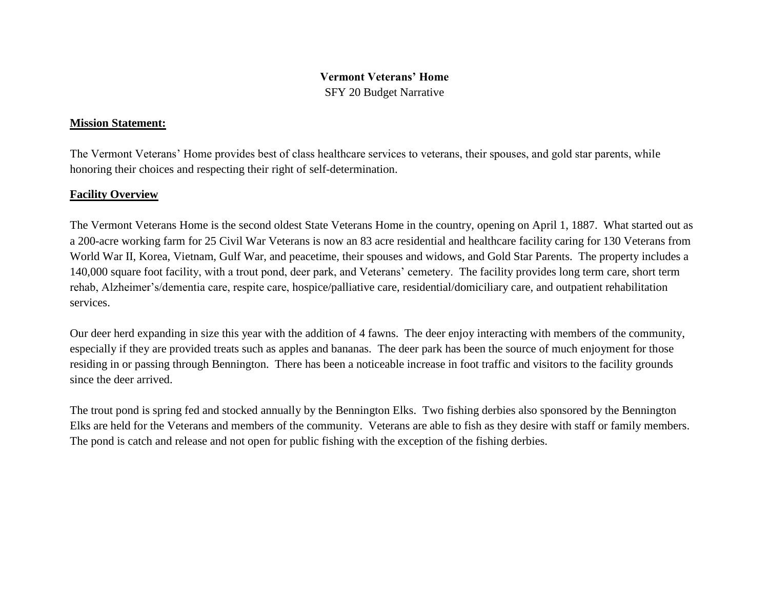# **Vermont Veterans' Home**

SFY 20 Budget Narrative

# **Mission Statement:**

The Vermont Veterans' Home provides best of class healthcare services to veterans, their spouses, and gold star parents, while honoring their choices and respecting their right of self-determination.

# **Facility Overview**

The Vermont Veterans Home is the second oldest State Veterans Home in the country, opening on April 1, 1887. What started out as a 200-acre working farm for 25 Civil War Veterans is now an 83 acre residential and healthcare facility caring for 130 Veterans from World War II, Korea, Vietnam, Gulf War, and peacetime, their spouses and widows, and Gold Star Parents. The property includes a 140,000 square foot facility, with a trout pond, deer park, and Veterans' cemetery. The facility provides long term care, short term rehab, Alzheimer's/dementia care, respite care, hospice/palliative care, residential/domiciliary care, and outpatient rehabilitation services.

Our deer herd expanding in size this year with the addition of 4 fawns. The deer enjoy interacting with members of the community, especially if they are provided treats such as apples and bananas. The deer park has been the source of much enjoyment for those residing in or passing through Bennington. There has been a noticeable increase in foot traffic and visitors to the facility grounds since the deer arrived.

The trout pond is spring fed and stocked annually by the Bennington Elks. Two fishing derbies also sponsored by the Bennington Elks are held for the Veterans and members of the community. Veterans are able to fish as they desire with staff or family members. The pond is catch and release and not open for public fishing with the exception of the fishing derbies.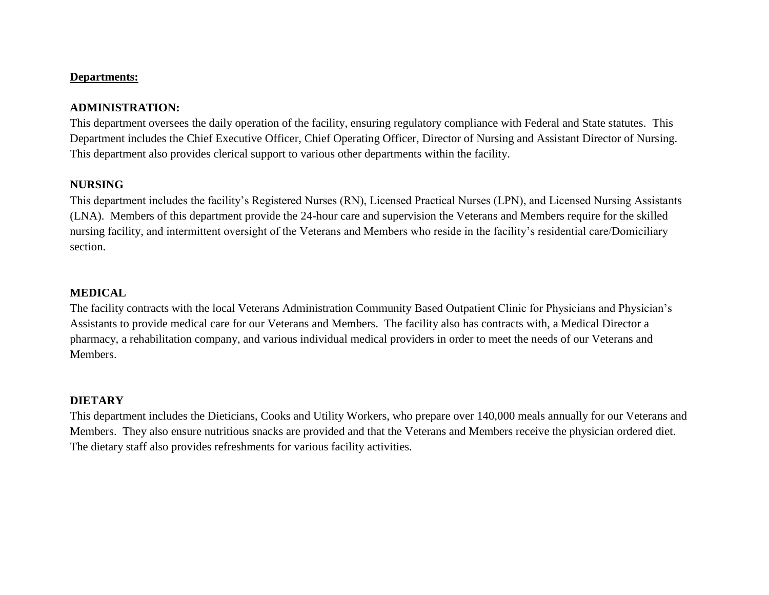#### **Departments:**

### **ADMINISTRATION:**

This department oversees the daily operation of the facility, ensuring regulatory compliance with Federal and State statutes. This Department includes the Chief Executive Officer, Chief Operating Officer, Director of Nursing and Assistant Director of Nursing. This department also provides clerical support to various other departments within the facility.

#### **NURSING**

This department includes the facility's Registered Nurses (RN), Licensed Practical Nurses (LPN), and Licensed Nursing Assistants (LNA). Members of this department provide the 24-hour care and supervision the Veterans and Members require for the skilled nursing facility, and intermittent oversight of the Veterans and Members who reside in the facility's residential care/Domiciliary section.

#### **MEDICAL**

The facility contracts with the local Veterans Administration Community Based Outpatient Clinic for Physicians and Physician's Assistants to provide medical care for our Veterans and Members. The facility also has contracts with, a Medical Director a pharmacy, a rehabilitation company, and various individual medical providers in order to meet the needs of our Veterans and Members.

#### **DIETARY**

This department includes the Dieticians, Cooks and Utility Workers, who prepare over 140,000 meals annually for our Veterans and Members. They also ensure nutritious snacks are provided and that the Veterans and Members receive the physician ordered diet. The dietary staff also provides refreshments for various facility activities.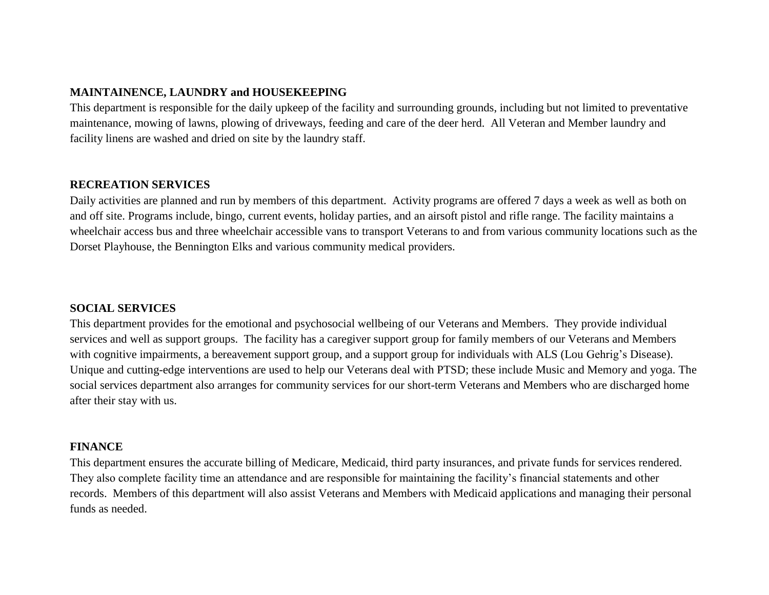# **MAINTAINENCE, LAUNDRY and HOUSEKEEPING**

This department is responsible for the daily upkeep of the facility and surrounding grounds, including but not limited to preventative maintenance, mowing of lawns, plowing of driveways, feeding and care of the deer herd. All Veteran and Member laundry and facility linens are washed and dried on site by the laundry staff.

#### **RECREATION SERVICES**

Daily activities are planned and run by members of this department. Activity programs are offered 7 days a week as well as both on and off site. Programs include, bingo, current events, holiday parties, and an airsoft pistol and rifle range. The facility maintains a wheelchair access bus and three wheelchair accessible vans to transport Veterans to and from various community locations such as the Dorset Playhouse, the Bennington Elks and various community medical providers.

#### **SOCIAL SERVICES**

This department provides for the emotional and psychosocial wellbeing of our Veterans and Members. They provide individual services and well as support groups. The facility has a caregiver support group for family members of our Veterans and Members with cognitive impairments, a bereavement support group, and a support group for individuals with ALS (Lou Gehrig's Disease). Unique and cutting-edge interventions are used to help our Veterans deal with PTSD; these include Music and Memory and yoga. The social services department also arranges for community services for our short-term Veterans and Members who are discharged home after their stay with us.

#### **FINANCE**

This department ensures the accurate billing of Medicare, Medicaid, third party insurances, and private funds for services rendered. They also complete facility time an attendance and are responsible for maintaining the facility's financial statements and other records. Members of this department will also assist Veterans and Members with Medicaid applications and managing their personal funds as needed.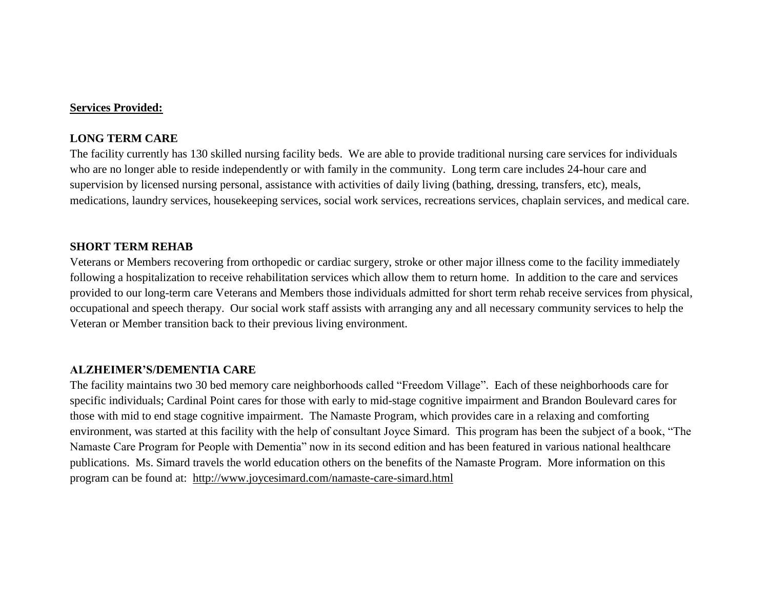#### **Services Provided:**

#### **LONG TERM CARE**

The facility currently has 130 skilled nursing facility beds. We are able to provide traditional nursing care services for individuals who are no longer able to reside independently or with family in the community. Long term care includes 24-hour care and supervision by licensed nursing personal, assistance with activities of daily living (bathing, dressing, transfers, etc), meals, medications, laundry services, housekeeping services, social work services, recreations services, chaplain services, and medical care.

#### **SHORT TERM REHAB**

Veterans or Members recovering from orthopedic or cardiac surgery, stroke or other major illness come to the facility immediately following a hospitalization to receive rehabilitation services which allow them to return home. In addition to the care and services provided to our long-term care Veterans and Members those individuals admitted for short term rehab receive services from physical, occupational and speech therapy. Our social work staff assists with arranging any and all necessary community services to help the Veteran or Member transition back to their previous living environment.

#### **ALZHEIMER'S/DEMENTIA CARE**

The facility maintains two 30 bed memory care neighborhoods called "Freedom Village". Each of these neighborhoods care for specific individuals; Cardinal Point cares for those with early to mid-stage cognitive impairment and Brandon Boulevard cares for those with mid to end stage cognitive impairment. The Namaste Program, which provides care in a relaxing and comforting environment, was started at this facility with the help of consultant Joyce Simard. This program has been the subject of a book, "The Namaste Care Program for People with Dementia" now in its second edition and has been featured in various national healthcare publications. Ms. Simard travels the world education others on the benefits of the Namaste Program. More information on this program can be found at: <http://www.joycesimard.com/namaste-care-simard.html>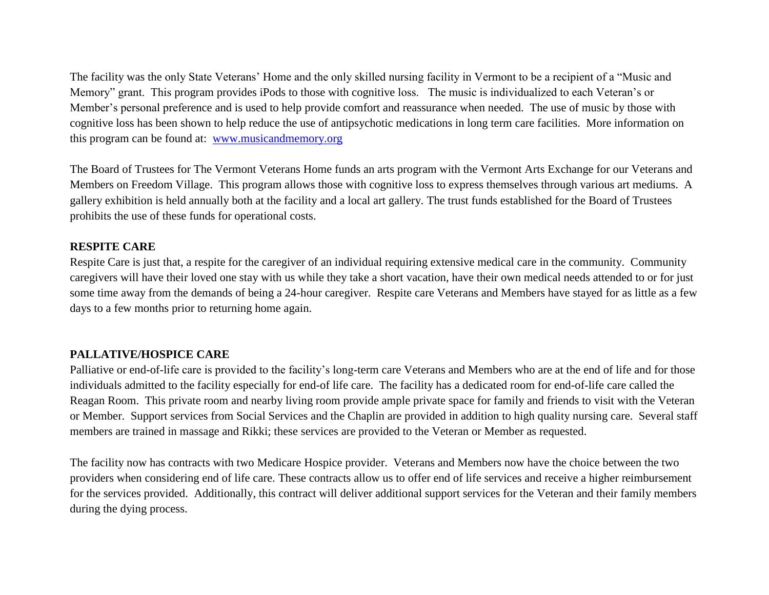The facility was the only State Veterans' Home and the only skilled nursing facility in Vermont to be a recipient of a "Music and Memory" grant. This program provides iPods to those with cognitive loss. The music is individualized to each Veteran's or Member's personal preference and is used to help provide comfort and reassurance when needed. The use of music by those with cognitive loss has been shown to help reduce the use of antipsychotic medications in long term care facilities. More information on this program can be found at: [www.musicandmemory.org](http://www.musicandmemory.org/)

The Board of Trustees for The Vermont Veterans Home funds an arts program with the Vermont Arts Exchange for our Veterans and Members on Freedom Village. This program allows those with cognitive loss to express themselves through various art mediums. A gallery exhibition is held annually both at the facility and a local art gallery. The trust funds established for the Board of Trustees prohibits the use of these funds for operational costs.

#### **RESPITE CARE**

Respite Care is just that, a respite for the caregiver of an individual requiring extensive medical care in the community. Community caregivers will have their loved one stay with us while they take a short vacation, have their own medical needs attended to or for just some time away from the demands of being a 24-hour caregiver. Respite care Veterans and Members have stayed for as little as a few days to a few months prior to returning home again.

# **PALLATIVE/HOSPICE CARE**

Palliative or end-of-life care is provided to the facility's long-term care Veterans and Members who are at the end of life and for those individuals admitted to the facility especially for end-of life care. The facility has a dedicated room for end-of-life care called the Reagan Room. This private room and nearby living room provide ample private space for family and friends to visit with the Veteran or Member. Support services from Social Services and the Chaplin are provided in addition to high quality nursing care. Several staff members are trained in massage and Rikki; these services are provided to the Veteran or Member as requested.

The facility now has contracts with two Medicare Hospice provider. Veterans and Members now have the choice between the two providers when considering end of life care. These contracts allow us to offer end of life services and receive a higher reimbursement for the services provided. Additionally, this contract will deliver additional support services for the Veteran and their family members during the dying process.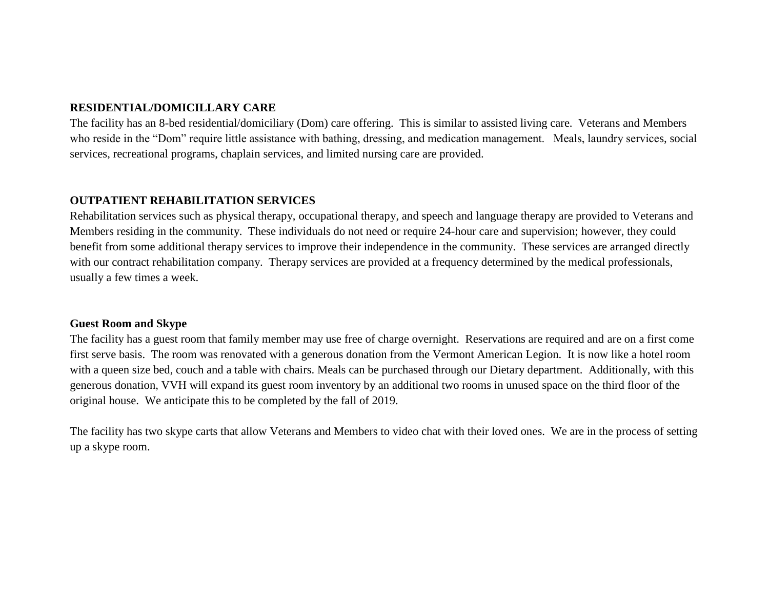## **RESIDENTIAL/DOMICILLARY CARE**

The facility has an 8-bed residential/domiciliary (Dom) care offering. This is similar to assisted living care. Veterans and Members who reside in the "Dom" require little assistance with bathing, dressing, and medication management. Meals, laundry services, social services, recreational programs, chaplain services, and limited nursing care are provided.

#### **OUTPATIENT REHABILITATION SERVICES**

Rehabilitation services such as physical therapy, occupational therapy, and speech and language therapy are provided to Veterans and Members residing in the community. These individuals do not need or require 24-hour care and supervision; however, they could benefit from some additional therapy services to improve their independence in the community. These services are arranged directly with our contract rehabilitation company. Therapy services are provided at a frequency determined by the medical professionals, usually a few times a week.

### **Guest Room and Skype**

The facility has a guest room that family member may use free of charge overnight. Reservations are required and are on a first come first serve basis. The room was renovated with a generous donation from the Vermont American Legion. It is now like a hotel room with a queen size bed, couch and a table with chairs. Meals can be purchased through our Dietary department. Additionally, with this generous donation, VVH will expand its guest room inventory by an additional two rooms in unused space on the third floor of the original house. We anticipate this to be completed by the fall of 2019.

The facility has two skype carts that allow Veterans and Members to video chat with their loved ones. We are in the process of setting up a skype room.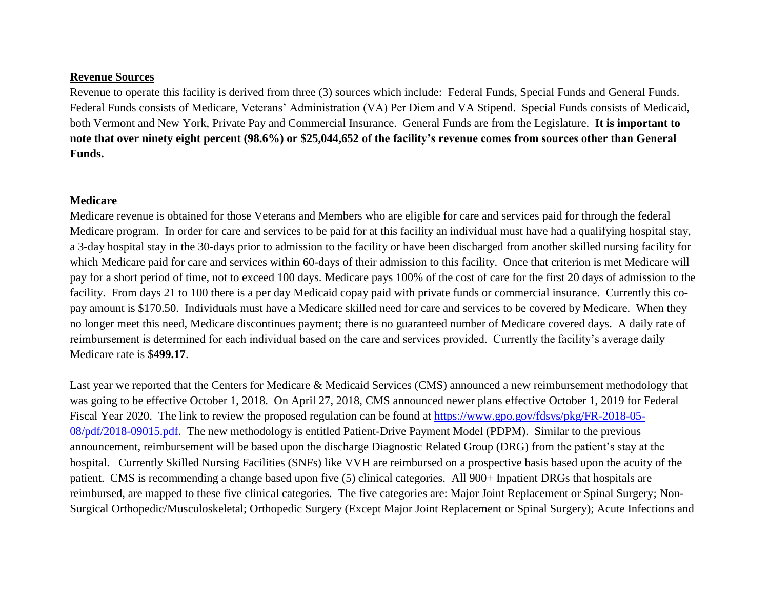## **Revenue Sources**

Revenue to operate this facility is derived from three (3) sources which include: Federal Funds, Special Funds and General Funds. Federal Funds consists of Medicare, Veterans' Administration (VA) Per Diem and VA Stipend. Special Funds consists of Medicaid, both Vermont and New York, Private Pay and Commercial Insurance. General Funds are from the Legislature. **It is important to note that over ninety eight percent (98.6%) or \$25,044,652 of the facility's revenue comes from sources other than General Funds.**

#### **Medicare**

Medicare revenue is obtained for those Veterans and Members who are eligible for care and services paid for through the federal Medicare program. In order for care and services to be paid for at this facility an individual must have had a qualifying hospital stay, a 3-day hospital stay in the 30-days prior to admission to the facility or have been discharged from another skilled nursing facility for which Medicare paid for care and services within 60-days of their admission to this facility. Once that criterion is met Medicare will pay for a short period of time, not to exceed 100 days. Medicare pays 100% of the cost of care for the first 20 days of admission to the facility. From days 21 to 100 there is a per day Medicaid copay paid with private funds or commercial insurance. Currently this copay amount is \$170.50. Individuals must have a Medicare skilled need for care and services to be covered by Medicare. When they no longer meet this need, Medicare discontinues payment; there is no guaranteed number of Medicare covered days. A daily rate of reimbursement is determined for each individual based on the care and services provided. Currently the facility's average daily Medicare rate is \$**499.17**.

Last year we reported that the Centers for Medicare & Medicaid Services (CMS) announced a new reimbursement methodology that was going to be effective October 1, 2018. On April 27, 2018, CMS announced newer plans effective October 1, 2019 for Federal Fiscal Year 2020. The link to review the proposed regulation can be found at [https://www.gpo.gov/fdsys/pkg/FR-2018-05-](https://www.gpo.gov/fdsys/pkg/FR-2018-05-08/pdf/2018-09015.pdf) [08/pdf/2018-09015.pdf.](https://www.gpo.gov/fdsys/pkg/FR-2018-05-08/pdf/2018-09015.pdf) The new methodology is entitled Patient-Drive Payment Model (PDPM). Similar to the previous announcement, reimbursement will be based upon the discharge Diagnostic Related Group (DRG) from the patient's stay at the hospital. Currently Skilled Nursing Facilities (SNFs) like VVH are reimbursed on a prospective basis based upon the acuity of the patient. CMS is recommending a change based upon five (5) clinical categories. All 900+ Inpatient DRGs that hospitals are reimbursed, are mapped to these five clinical categories. The five categories are: Major Joint Replacement or Spinal Surgery; Non-Surgical Orthopedic/Musculoskeletal; Orthopedic Surgery (Except Major Joint Replacement or Spinal Surgery); Acute Infections and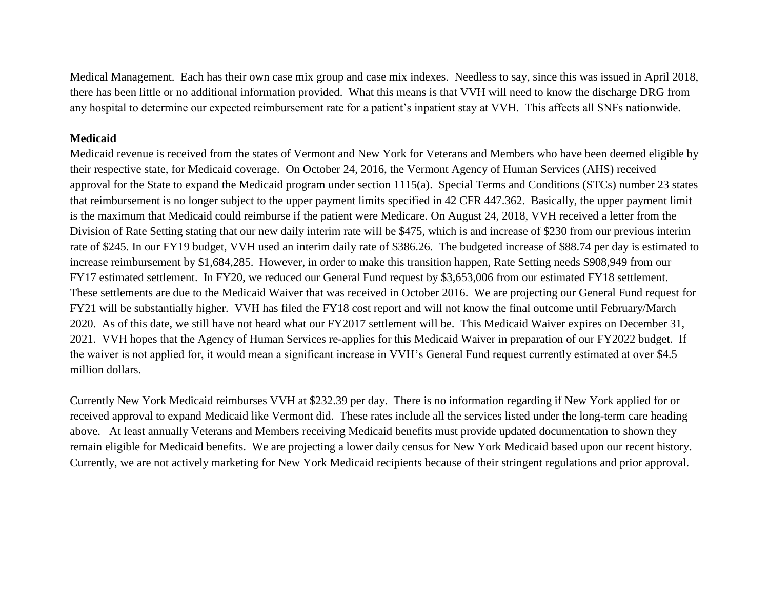Medical Management. Each has their own case mix group and case mix indexes. Needless to say, since this was issued in April 2018, there has been little or no additional information provided. What this means is that VVH will need to know the discharge DRG from any hospital to determine our expected reimbursement rate for a patient's inpatient stay at VVH. This affects all SNFs nationwide.

### **Medicaid**

Medicaid revenue is received from the states of Vermont and New York for Veterans and Members who have been deemed eligible by their respective state, for Medicaid coverage. On October 24, 2016, the Vermont Agency of Human Services (AHS) received approval for the State to expand the Medicaid program under section 1115(a). Special Terms and Conditions (STCs) number 23 states that reimbursement is no longer subject to the upper payment limits specified in 42 CFR 447.362. Basically, the upper payment limit is the maximum that Medicaid could reimburse if the patient were Medicare. On August 24, 2018, VVH received a letter from the Division of Rate Setting stating that our new daily interim rate will be \$475, which is and increase of \$230 from our previous interim rate of \$245. In our FY19 budget, VVH used an interim daily rate of \$386.26. The budgeted increase of \$88.74 per day is estimated to increase reimbursement by \$1,684,285. However, in order to make this transition happen, Rate Setting needs \$908,949 from our FY17 estimated settlement. In FY20, we reduced our General Fund request by \$3,653,006 from our estimated FY18 settlement. These settlements are due to the Medicaid Waiver that was received in October 2016. We are projecting our General Fund request for FY21 will be substantially higher. VVH has filed the FY18 cost report and will not know the final outcome until February/March 2020. As of this date, we still have not heard what our FY2017 settlement will be. This Medicaid Waiver expires on December 31, 2021. VVH hopes that the Agency of Human Services re-applies for this Medicaid Waiver in preparation of our FY2022 budget. If the waiver is not applied for, it would mean a significant increase in VVH's General Fund request currently estimated at over \$4.5 million dollars.

Currently New York Medicaid reimburses VVH at \$232.39 per day. There is no information regarding if New York applied for or received approval to expand Medicaid like Vermont did. These rates include all the services listed under the long-term care heading above. At least annually Veterans and Members receiving Medicaid benefits must provide updated documentation to shown they remain eligible for Medicaid benefits. We are projecting a lower daily census for New York Medicaid based upon our recent history. Currently, we are not actively marketing for New York Medicaid recipients because of their stringent regulations and prior approval.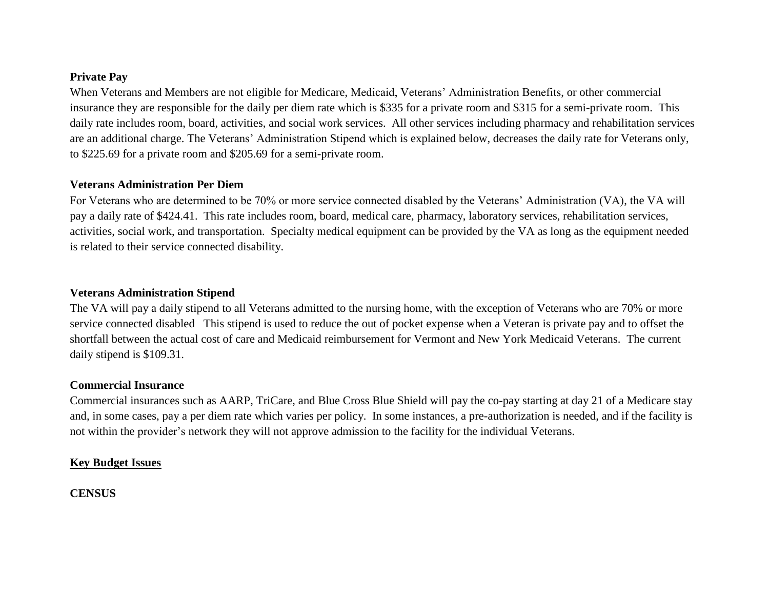## **Private Pay**

When Veterans and Members are not eligible for Medicare, Medicaid, Veterans' Administration Benefits, or other commercial insurance they are responsible for the daily per diem rate which is \$335 for a private room and \$315 for a semi-private room. This daily rate includes room, board, activities, and social work services. All other services including pharmacy and rehabilitation services are an additional charge. The Veterans' Administration Stipend which is explained below, decreases the daily rate for Veterans only, to \$225.69 for a private room and \$205.69 for a semi-private room.

### **Veterans Administration Per Diem**

For Veterans who are determined to be 70% or more service connected disabled by the Veterans' Administration (VA), the VA will pay a daily rate of \$424.41. This rate includes room, board, medical care, pharmacy, laboratory services, rehabilitation services, activities, social work, and transportation. Specialty medical equipment can be provided by the VA as long as the equipment needed is related to their service connected disability.

### **Veterans Administration Stipend**

The VA will pay a daily stipend to all Veterans admitted to the nursing home, with the exception of Veterans who are 70% or more service connected disabled This stipend is used to reduce the out of pocket expense when a Veteran is private pay and to offset the shortfall between the actual cost of care and Medicaid reimbursement for Vermont and New York Medicaid Veterans. The current daily stipend is \$109.31.

#### **Commercial Insurance**

Commercial insurances such as AARP, TriCare, and Blue Cross Blue Shield will pay the co-pay starting at day 21 of a Medicare stay and, in some cases, pay a per diem rate which varies per policy. In some instances, a pre-authorization is needed, and if the facility is not within the provider's network they will not approve admission to the facility for the individual Veterans.

# **Key Budget Issues**

**CENSUS**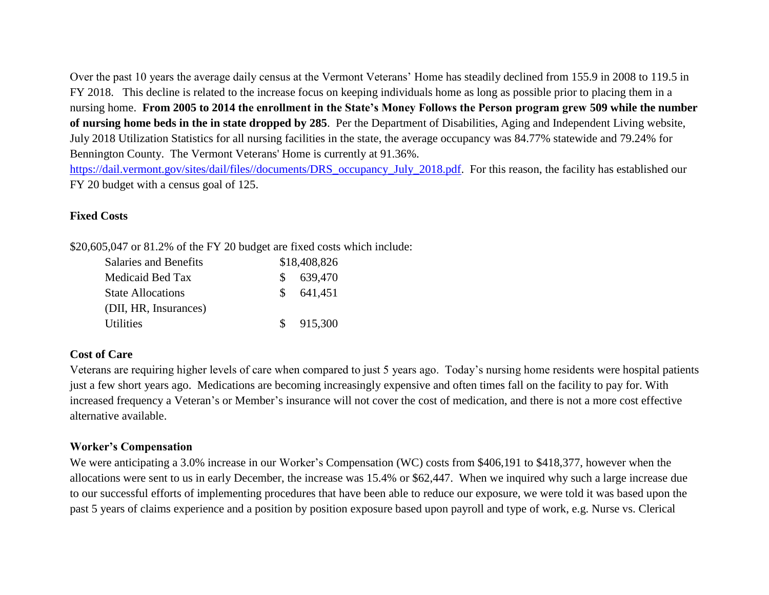Over the past 10 years the average daily census at the Vermont Veterans' Home has steadily declined from 155.9 in 2008 to 119.5 in FY 2018. This decline is related to the increase focus on keeping individuals home as long as possible prior to placing them in a nursing home. **From 2005 to 2014 the enrollment in the State's Money Follows the Person program grew 509 while the number of nursing home beds in the in state dropped by 285**. Per the Department of Disabilities, Aging and Independent Living website, July 2018 Utilization Statistics for all nursing facilities in the state, the average occupancy was 84.77% statewide and 79.24% for Bennington County. The Vermont Veterans' Home is currently at 91.36%. [https://dail.vermont.gov/sites/dail/files//documents/DRS\\_occupancy\\_July\\_2018.pdf.](https://dail.vermont.gov/sites/dail/files/documents/DRS_occupancy_July_2018.pdf) For this reason, the facility has established our

FY 20 budget with a census goal of 125.

# **Fixed Costs**

\$20,605,047 or 81.2% of the FY 20 budget are fixed costs which include:

| Salaries and Benefits    | \$18,408,826 |
|--------------------------|--------------|
| Medicaid Bed Tax         | \$639,470    |
| <b>State Allocations</b> | \$641,451    |
| (DII, HR, Insurances)    |              |
| Utilities                | \$915,300    |

# **Cost of Care**

Veterans are requiring higher levels of care when compared to just 5 years ago. Today's nursing home residents were hospital patients just a few short years ago. Medications are becoming increasingly expensive and often times fall on the facility to pay for. With increased frequency a Veteran's or Member's insurance will not cover the cost of medication, and there is not a more cost effective alternative available.

# **Worker's Compensation**

We were anticipating a 3.0% increase in our Worker's Compensation (WC) costs from \$406,191 to \$418,377, however when the allocations were sent to us in early December, the increase was 15.4% or \$62,447. When we inquired why such a large increase due to our successful efforts of implementing procedures that have been able to reduce our exposure, we were told it was based upon the past 5 years of claims experience and a position by position exposure based upon payroll and type of work, e.g. Nurse vs. Clerical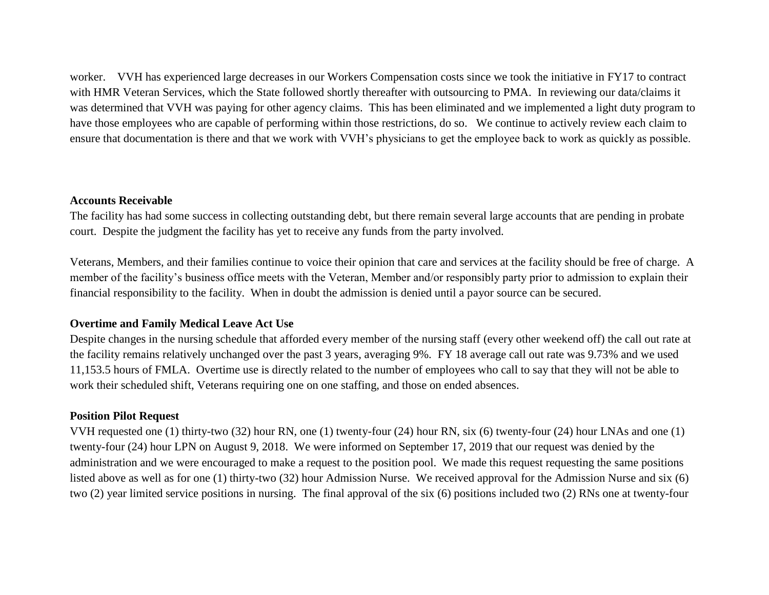worker. VVH has experienced large decreases in our Workers Compensation costs since we took the initiative in FY17 to contract with HMR Veteran Services, which the State followed shortly thereafter with outsourcing to PMA. In reviewing our data/claims it was determined that VVH was paying for other agency claims. This has been eliminated and we implemented a light duty program to have those employees who are capable of performing within those restrictions, do so. We continue to actively review each claim to ensure that documentation is there and that we work with VVH's physicians to get the employee back to work as quickly as possible.

#### **Accounts Receivable**

The facility has had some success in collecting outstanding debt, but there remain several large accounts that are pending in probate court. Despite the judgment the facility has yet to receive any funds from the party involved.

Veterans, Members, and their families continue to voice their opinion that care and services at the facility should be free of charge. A member of the facility's business office meets with the Veteran, Member and/or responsibly party prior to admission to explain their financial responsibility to the facility. When in doubt the admission is denied until a payor source can be secured.

#### **Overtime and Family Medical Leave Act Use**

Despite changes in the nursing schedule that afforded every member of the nursing staff (every other weekend off) the call out rate at the facility remains relatively unchanged over the past 3 years, averaging 9%. FY 18 average call out rate was 9.73% and we used 11,153.5 hours of FMLA. Overtime use is directly related to the number of employees who call to say that they will not be able to work their scheduled shift, Veterans requiring one on one staffing, and those on ended absences.

#### **Position Pilot Request**

VVH requested one (1) thirty-two (32) hour RN, one (1) twenty-four (24) hour RN, six (6) twenty-four (24) hour LNAs and one (1) twenty-four (24) hour LPN on August 9, 2018. We were informed on September 17, 2019 that our request was denied by the administration and we were encouraged to make a request to the position pool. We made this request requesting the same positions listed above as well as for one (1) thirty-two (32) hour Admission Nurse. We received approval for the Admission Nurse and six (6) two (2) year limited service positions in nursing. The final approval of the six (6) positions included two (2) RNs one at twenty-four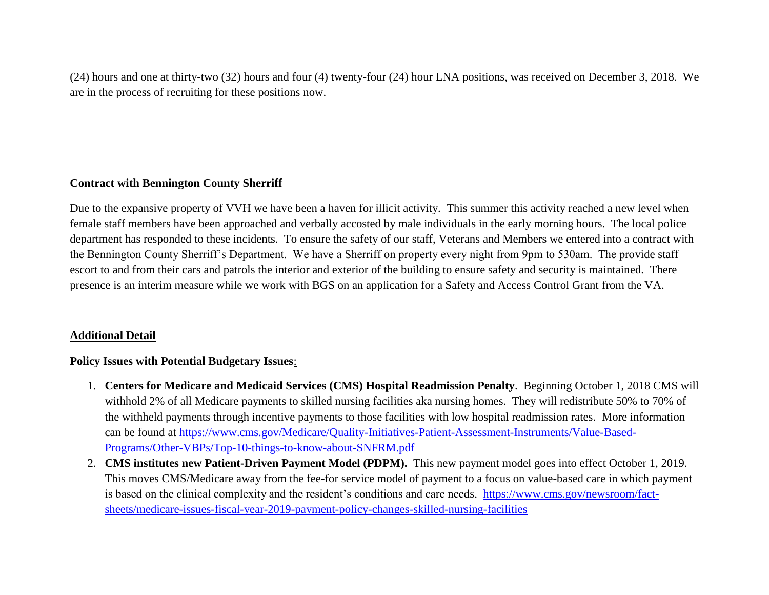(24) hours and one at thirty-two (32) hours and four (4) twenty-four (24) hour LNA positions, was received on December 3, 2018. We are in the process of recruiting for these positions now.

# **Contract with Bennington County Sherriff**

Due to the expansive property of VVH we have been a haven for illicit activity. This summer this activity reached a new level when female staff members have been approached and verbally accosted by male individuals in the early morning hours. The local police department has responded to these incidents. To ensure the safety of our staff, Veterans and Members we entered into a contract with the Bennington County Sherriff's Department. We have a Sherriff on property every night from 9pm to 530am. The provide staff escort to and from their cars and patrols the interior and exterior of the building to ensure safety and security is maintained. There presence is an interim measure while we work with BGS on an application for a Safety and Access Control Grant from the VA.

# **Additional Detail**

# **Policy Issues with Potential Budgetary Issues**:

- 1. **Centers for Medicare and Medicaid Services (CMS) Hospital Readmission Penalty**. Beginning October 1, 2018 CMS will withhold 2% of all Medicare payments to skilled nursing facilities aka nursing homes. They will redistribute 50% to 70% of the withheld payments through incentive payments to those facilities with low hospital readmission rates. More information can be found at [https://www.cms.gov/Medicare/Quality-Initiatives-Patient-Assessment-Instruments/Value-Based-](https://www.cms.gov/Medicare/Quality-Initiatives-Patient-Assessment-Instruments/Value-Based-Programs/Other-VBPs/Top-10-things-to-know-about-SNFRM.pdf)[Programs/Other-VBPs/Top-10-things-to-know-about-SNFRM.pdf](https://www.cms.gov/Medicare/Quality-Initiatives-Patient-Assessment-Instruments/Value-Based-Programs/Other-VBPs/Top-10-things-to-know-about-SNFRM.pdf)
- 2. **CMS institutes new Patient-Driven Payment Model (PDPM).** This new payment model goes into effect October 1, 2019. This moves CMS/Medicare away from the fee-for service model of payment to a focus on value-based care in which payment is based on the clinical complexity and the resident's conditions and care needs. [https://www.cms.gov/newsroom/fact](https://www.cms.gov/newsroom/fact-sheets/medicare-issues-fiscal-year-2019-payment-policy-changes-skilled-nursing-facilities)[sheets/medicare-issues-fiscal-year-2019-payment-policy-changes-skilled-nursing-facilities](https://www.cms.gov/newsroom/fact-sheets/medicare-issues-fiscal-year-2019-payment-policy-changes-skilled-nursing-facilities)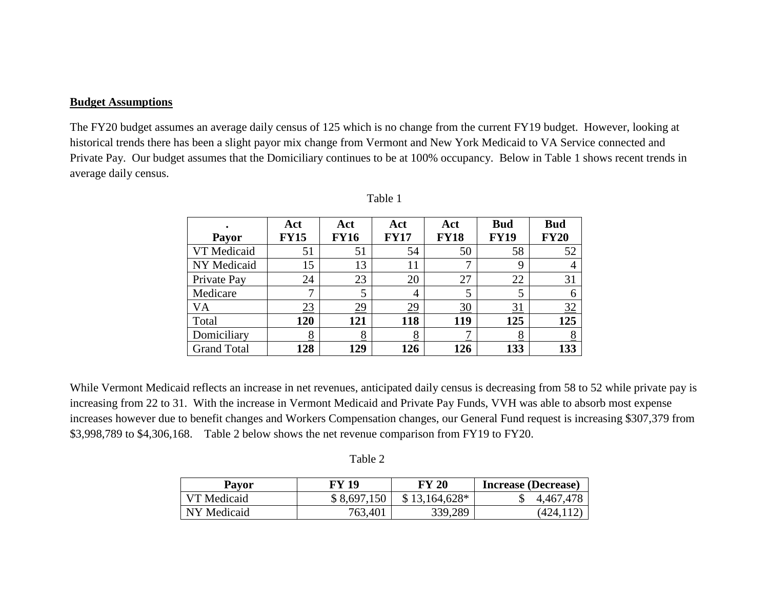#### **Budget Assumptions**

The FY20 budget assumes an average daily census of 125 which is no change from the current FY19 budget. However, looking at historical trends there has been a slight payor mix change from Vermont and New York Medicaid to VA Service connected and Private Pay. Our budget assumes that the Domiciliary continues to be at 100% occupancy. Below in Table 1 shows recent trends in average daily census.

|                    | Act          | Act         | Act         | Act             | <b>Bud</b>  | <b>Bud</b>  |
|--------------------|--------------|-------------|-------------|-----------------|-------------|-------------|
| <b>Payor</b>       | <b>FY15</b>  | <b>FY16</b> | <b>FY17</b> | <b>FY18</b>     | <b>FY19</b> | <b>FY20</b> |
| VT Medicaid        | 51           | 51          | 54          | 50              | 58          | 52          |
| NY Medicaid        | 15           | 13          | 11          |                 | 9           | 4           |
| Private Pay        | 24           | 23          | 20          | 27              | 22          | 31          |
| Medicare           | $\mathbf{r}$ |             | 4           |                 | 5           | 6           |
| VA                 | 23           | <u>29</u>   | <u>29</u>   | $\overline{30}$ | 31          | 32          |
| Total              | 120          | 121         | 118         | 119             | 125         | 125         |
| Domiciliary        | 8            | 8           | 8           |                 | <u>8</u>    | 8           |
| <b>Grand Total</b> | 128          | 129         | 126         | 126             | 133         | 133         |

| П<br>١I<br>L<br>۴ı |  |
|--------------------|--|
|                    |  |

While Vermont Medicaid reflects an increase in net revenues, anticipated daily census is decreasing from 58 to 52 while private pay is increasing from 22 to 31. With the increase in Vermont Medicaid and Private Pay Funds, VVH was able to absorb most expense increases however due to benefit changes and Workers Compensation changes, our General Fund request is increasing \$307,379 from \$3,998,789 to \$4,306,168. Table 2 below shows the net revenue comparison from FY19 to FY20.

| . . |
|-----|
|-----|

| Payor       | FY 19       | <b>FY 20</b>   | <b>Increase (Decrease)</b> |
|-------------|-------------|----------------|----------------------------|
| VT Medicaid | \$8,697,150 | $$13,164,628*$ | 4,467,478                  |
| NY Medicaid | 763,401     | 339,289        | (424.112                   |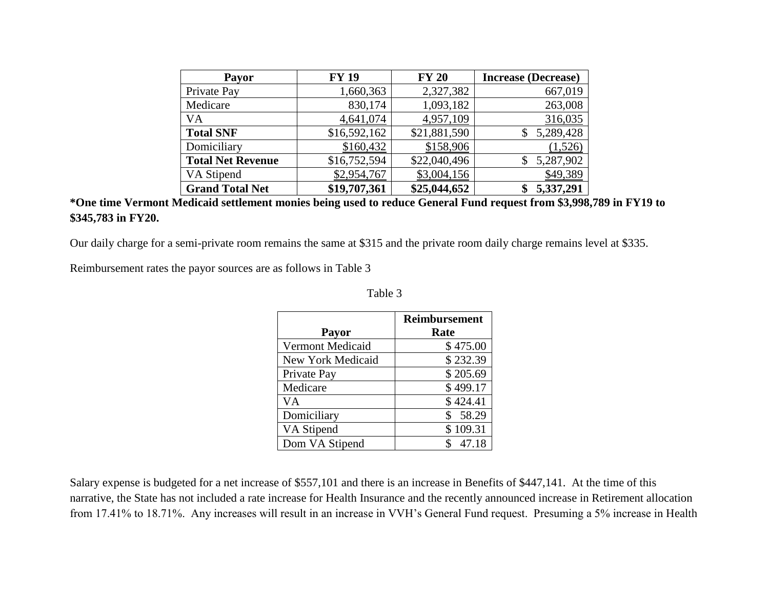| <b>Payor</b>             | <b>FY 19</b> | <b>FY 20</b> | <b>Increase (Decrease)</b> |
|--------------------------|--------------|--------------|----------------------------|
| Private Pay              | 1,660,363    | 2,327,382    | 667,019                    |
| Medicare                 | 830,174      | 1,093,182    | 263,008                    |
| VA                       | 4,641,074    | 4,957,109    | 316,035                    |
| <b>Total SNF</b>         | \$16,592,162 | \$21,881,590 | 5,289,428                  |
| Domiciliary              | \$160,432    | \$158,906    | (1,526)                    |
| <b>Total Net Revenue</b> | \$16,752,594 | \$22,040,496 | 5,287,902                  |
| VA Stipend               | \$2,954,767  | \$3,004,156  | \$49,389                   |
| <b>Grand Total Net</b>   | \$19,707,361 | \$25,044,652 | 5,337,291                  |

# **\*One time Vermont Medicaid settlement monies being used to reduce General Fund request from \$3,998,789 in FY19 to \$345,783 in FY20.**

Our daily charge for a semi-private room remains the same at \$315 and the private room daily charge remains level at \$335.

Reimbursement rates the payor sources are as follows in Table 3

| <b>Payor</b>            | <b>Reimbursement</b><br>Rate |
|-------------------------|------------------------------|
| <b>Vermont Medicaid</b> | \$475.00                     |
| New York Medicaid       | \$232.39                     |
| Private Pay             | \$205.69                     |
| Medicare                | \$499.17                     |
| VA                      | \$424.41                     |
| Domiciliary             | \$58.29                      |
| VA Stipend              | \$109.31                     |
| Dom VA Stipend          | 47.18                        |

Table 3

Salary expense is budgeted for a net increase of \$557,101 and there is an increase in Benefits of \$447,141. At the time of this narrative, the State has not included a rate increase for Health Insurance and the recently announced increase in Retirement allocation from 17.41% to 18.71%. Any increases will result in an increase in VVH's General Fund request. Presuming a 5% increase in Health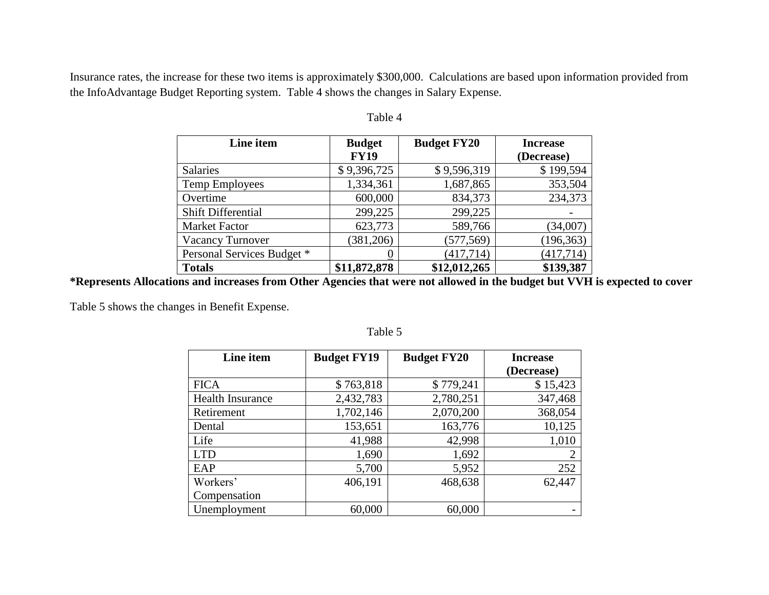Insurance rates, the increase for these two items is approximately \$300,000. Calculations are based upon information provided from the InfoAdvantage Budget Reporting system. Table 4 shows the changes in Salary Expense.

| Line item                  | <b>Budget</b> | <b>Budget FY20</b> | <b>Increase</b> |  |
|----------------------------|---------------|--------------------|-----------------|--|
|                            | <b>FY19</b>   |                    | (Decrease)      |  |
| <b>Salaries</b>            | \$9,396,725   | \$9,596,319        | \$199,594       |  |
| Temp Employees             | 1,334,361     | 1,687,865          | 353,504         |  |
| Overtime                   | 600,000       | 834,373            | 234,373         |  |
| <b>Shift Differential</b>  | 299,225       | 299,225            |                 |  |
| <b>Market Factor</b>       | 623,773       | 589,766            | (34,007)        |  |
| <b>Vacancy Turnover</b>    | (381, 206)    | (577, 569)         | (196, 363)      |  |
| Personal Services Budget * | 0             | (417, 714)         | (417, 714)      |  |
| <b>Totals</b>              | \$11,872,878  | \$12,012,265       | \$139,387       |  |

#### Table 4

**\*Represents Allocations and increases from Other Agencies that were not allowed in the budget but VVH is expected to cover**

Table 5 shows the changes in Benefit Expense.

| Line item               | <b>Budget FY19</b> | <b>Budget FY20</b> | <b>Increase</b> |
|-------------------------|--------------------|--------------------|-----------------|
|                         |                    |                    | (Decrease)      |
| <b>FICA</b>             | \$763,818          | \$779,241          | \$15,423        |
| <b>Health Insurance</b> | 2,432,783          | 2,780,251          | 347,468         |
| Retirement              | 1,702,146          | 2,070,200          | 368,054         |
| Dental                  | 153,651            | 163,776            | 10,125          |
| Life                    | 41,988             | 42,998             | 1,010           |
| <b>LTD</b>              | 1,690              | 1,692              | 2               |
| EAP                     | 5,700              | 5,952              | 252             |
| Workers'                | 406,191            | 468,638            | 62,447          |
| Compensation            |                    |                    |                 |
| Unemployment            | 60,000             | 60,000             |                 |

Table 5